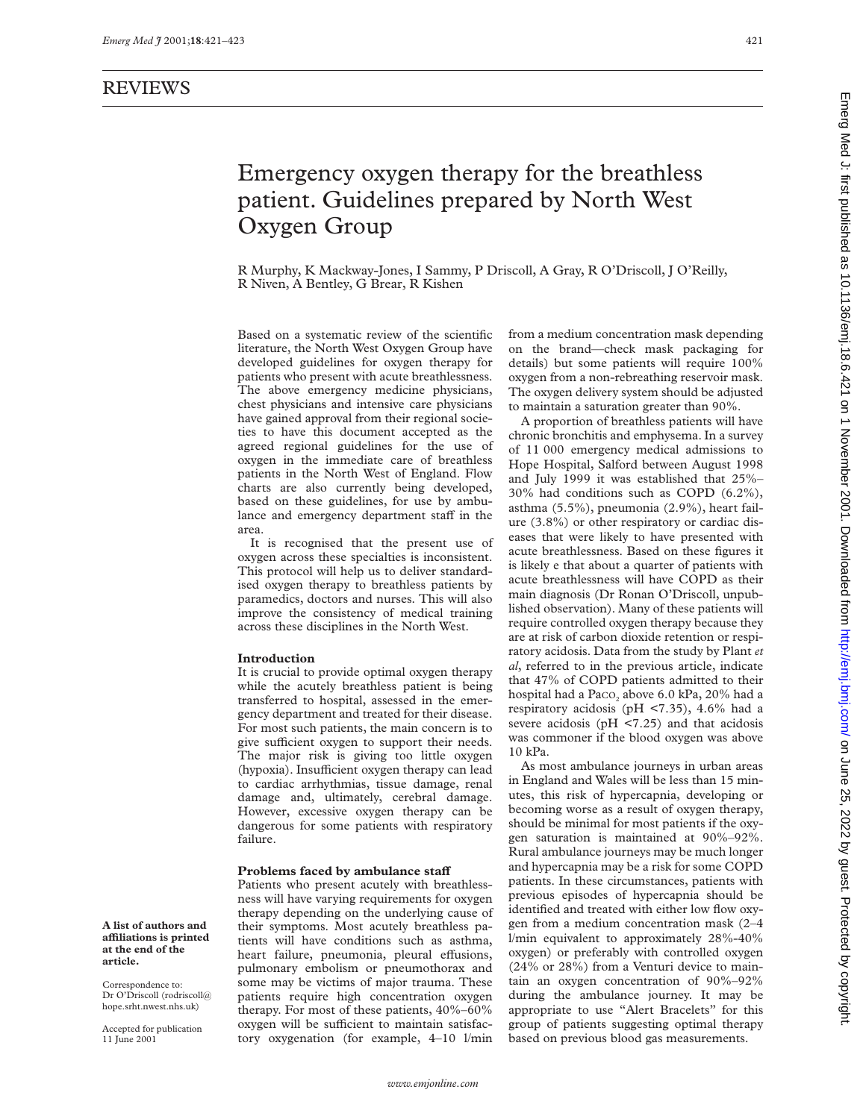# Emergency oxygen therapy for the breathless patient. Guidelines prepared by North West Oxygen Group

R Murphy, K Mackway-Jones, I Sammy, P Driscoll, A Gray, R O'Driscoll, J O'Reilly, R Niven, A Bentley, G Brear, R Kishen

Based on a systematic review of the scientific literature, the North West Oxygen Group have developed guidelines for oxygen therapy for patients who present with acute breathlessness. The above emergency medicine physicians, chest physicians and intensive care physicians have gained approval from their regional societies to have this document accepted as the agreed regional guidelines for the use of oxygen in the immediate care of breathless patients in the North West of England. Flow charts are also currently being developed, based on these guidelines, for use by ambulance and emergency department staff in the area.

It is recognised that the present use of oxygen across these specialties is inconsistent. This protocol will help us to deliver standardised oxygen therapy to breathless patients by paramedics, doctors and nurses. This will also improve the consistency of medical training across these disciplines in the North West.

#### **Introduction**

It is crucial to provide optimal oxygen therapy while the acutely breathless patient is being transferred to hospital, assessed in the emergency department and treated for their disease. For most such patients, the main concern is to give sufficient oxygen to support their needs. The major risk is giving too little oxygen (hypoxia). Insufficient oxygen therapy can lead to cardiac arrhythmias, tissue damage, renal damage and, ultimately, cerebral damage. However, excessive oxygen therapy can be dangerous for some patients with respiratory failure.

#### Problems faced by ambulance staff

Patients who present acutely with breathlessness will have varying requirements for oxygen therapy depending on the underlying cause of their symptoms. Most acutely breathless patients will have conditions such as asthma, heart failure, pneumonia, pleural effusions, pulmonary embolism or pneumothorax and some may be victims of major trauma. These patients require high concentration oxygen therapy. For most of these patients, 40%–60% oxygen will be sufficient to maintain satisfactory oxygenation (for example, 4–10 l/min from a medium concentration mask depending on the brand—check mask packaging for details) but some patients will require 100% oxygen from a non-rebreathing reservoir mask. The oxygen delivery system should be adjusted to maintain a saturation greater than 90%.

A proportion of breathless patients will have chronic bronchitis and emphysema. In a survey of 11 000 emergency medical admissions to Hope Hospital, Salford between August 1998 and July 1999 it was established that 25%– 30% had conditions such as COPD (6.2%), asthma (5.5%), pneumonia (2.9%), heart failure (3.8%) or other respiratory or cardiac diseases that were likely to have presented with acute breathlessness. Based on these figures it is likely e that about a quarter of patients with acute breathlessness will have COPD as their main diagnosis (Dr Ronan O'Driscoll, unpublished observation). Many of these patients will require controlled oxygen therapy because they are at risk of carbon dioxide retention or respiratory acidosis. Data from the study by Plant *et al*, referred to in the previous article, indicate that 47% of COPD patients admitted to their hospital had a Paco<sub>2</sub> above 6.0 kPa, 20% had a respiratory acidosis (pH <7.35), 4.6% had a severe acidosis (pH <7.25) and that acidosis was commoner if the blood oxygen was above 10 kPa.

As most ambulance journeys in urban areas in England and Wales will be less than 15 minutes, this risk of hypercapnia, developing or becoming worse as a result of oxygen therapy, should be minimal for most patients if the oxygen saturation is maintained at 90%–92%. Rural ambulance journeys may be much longer and hypercapnia may be a risk for some COPD patients. In these circumstances, patients with previous episodes of hypercapnia should be identified and treated with either low flow oxygen from a medium concentration mask (2–4 l/min equivalent to approximately 28%-40% oxygen) or preferably with controlled oxygen (24% or 28%) from a Venturi device to maintain an oxygen concentration of 90%–92% during the ambulance journey. It may be appropriate to use "Alert Bracelets" for this group of patients suggesting optimal therapy based on previous blood gas measurements.

**A list of authors and aYliations is printed at the end of the article.**

Correspondence to: Dr O'Driscoll (rodriscoll@ hope.srht.nwest.nhs.uk)

Accepted for publication 11 June 2001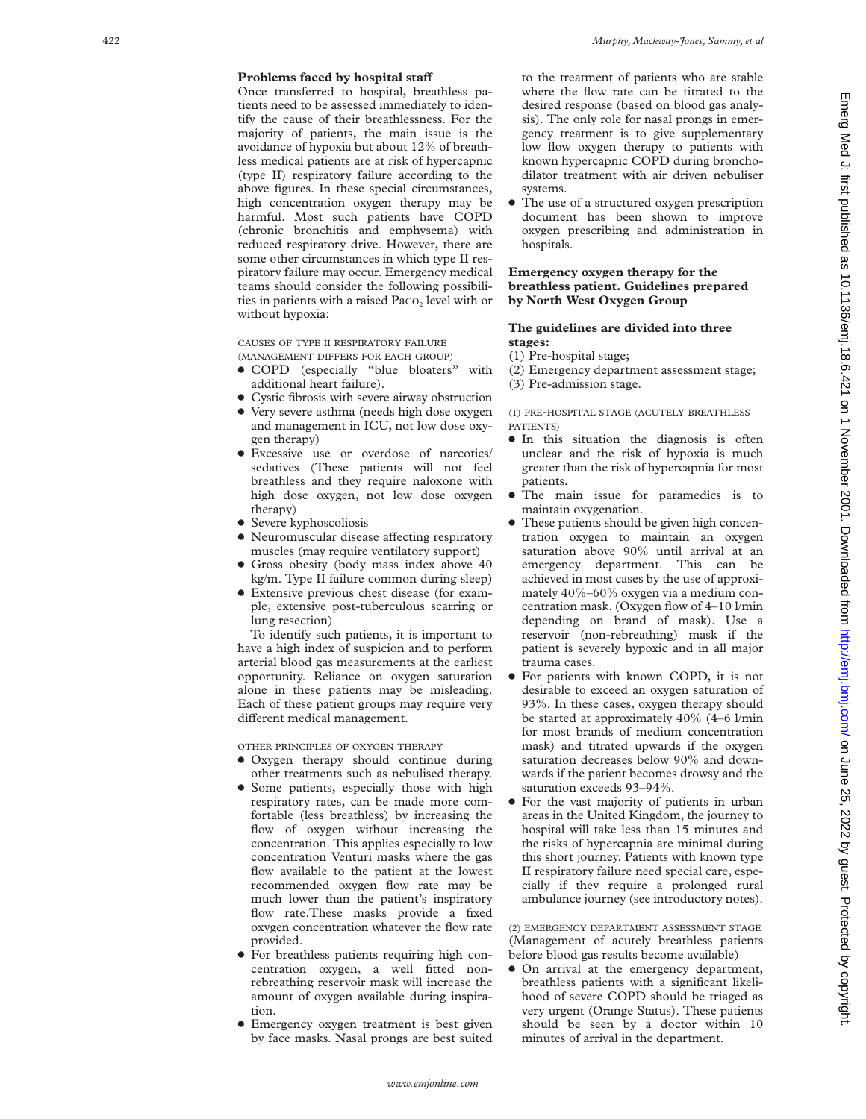# Problems faced by hospital staff

Once transferred to hospital, breathless patients need to be assessed immediately to identify the cause of their breathlessness. For the majority of patients, the main issue is the avoidance of hypoxia but about 12% of breathless medical patients are at risk of hypercapnic (type II) respiratory failure according to the above figures. In these special circumstances, high concentration oxygen therapy may be harmful. Most such patients have COPD (chronic bronchitis and emphysema) with reduced respiratory drive. However, there are some other circumstances in which type II respiratory failure may occur. Emergency medical teams should consider the following possibilities in patients with a raised Paco, level with or without hypoxia:

CAUSES OF TYPE II RESPIRATORY FAILURE (MANAGEMENT DIFFERS FOR EACH GROUP )

- COPD (especially "blue bloaters" with additional heart failure).
- Cystic fibrosis with severe airway obstruction
- Very severe asthma (needs high dose oxygen and management in ICU, not low dose oxygen therapy)
- x Excessive use or overdose of narcotics/ sedatives (These patients will not feel breathless and they require naloxone with high dose oxygen, not low dose oxygen therapy)
- $\bullet$  Severe kyphoscoliosis
- $\bullet$  Neuromuscular disease affecting respiratory muscles (may require ventilatory support)
- **Gross obesity (body mass index above 40** kg/m. Type II failure common during sleep)
- Extensive previous chest disease (for example, extensive post-tuberculous scarring or lung resection)

To identify such patients, it is important to have a high index of suspicion and to perform arterial blood gas measurements at the earliest opportunity. Reliance on oxygen saturation alone in these patients may be misleading. Each of these patient groups may require very different medical management.

OTHER PRINCIPLES OF OXYGEN THERAPY

- Oxygen therapy should continue during other treatments such as nebulised therapy.
- Some patients, especially those with high respiratory rates, can be made more comfortable (less breathless) by increasing the flow of oxygen without increasing the concentration. This applies especially to low concentration Venturi masks where the gas flow available to the patient at the lowest recommended oxygen flow rate may be much lower than the patient's inspiratory flow rate.These masks provide a fixed oxygen concentration whatever the flow rate provided.
- For breathless patients requiring high concentration oxygen, a well fitted nonrebreathing reservoir mask will increase the amount of oxygen available during inspiration.
- **•** Emergency oxygen treatment is best given by face masks. Nasal prongs are best suited

to the treatment of patients who are stable where the flow rate can be titrated to the desired response (based on blood gas analysis). The only role for nasal prongs in emergency treatment is to give supplementary low flow oxygen therapy to patients with known hypercapnic COPD during bronchodilator treatment with air driven nebuliser systems.

• The use of a structured oxygen prescription document has been shown to improve oxygen prescribing and administration in hospitals.

## **Emergency oxygen therapy for the breathless patient. Guidelines prepared by North West Oxygen Group**

### **The guidelines are divided into three stages:**

(1) Pre-hospital stage;

(2) Emergency department assessment stage; (3) Pre-admission stage.

(1) PRE -HOSPITAL STAGE (ACUTELY BREATHLESS PATIENTS )

- In this situation the diagnosis is often unclear and the risk of hypoxia is much greater than the risk of hypercapnia for most patients.
- The main issue for paramedics is to maintain oxygenation.
- These patients should be given high concentration oxygen to maintain an oxygen saturation above 90% until arrival at an emergency department. This can be achieved in most cases by the use of approximately 40%–60% oxygen via a medium concentration mask. (Oxygen flow of 4–10 l/min depending on brand of mask). Use a reservoir (non-rebreathing) mask if the patient is severely hypoxic and in all major trauma cases.
- For patients with known COPD, it is not desirable to exceed an oxygen saturation of 93%. In these cases, oxygen therapy should be started at approximately 40% (4–6 l/min for most brands of medium concentration mask) and titrated upwards if the oxygen saturation decreases below 90% and downwards if the patient becomes drowsy and the saturation exceeds 93–94%.
- For the vast majority of patients in urban areas in the United Kingdom, the journey to hospital will take less than 15 minutes and the risks of hypercapnia are minimal during this short journey. Patients with known type II respiratory failure need special care, especially if they require a prolonged rural ambulance journey (see introductory notes).

(2) EMERGENCY DEPARTMENT ASSESSMENT STAGE (Management of acutely breathless patients before blood gas results become available)

• On arrival at the emergency department, breathless patients with a significant likelihood of severe COPD should be triaged as very urgent (Orange Status). These patients should be seen by a doctor within 10 minutes of arrival in the department.